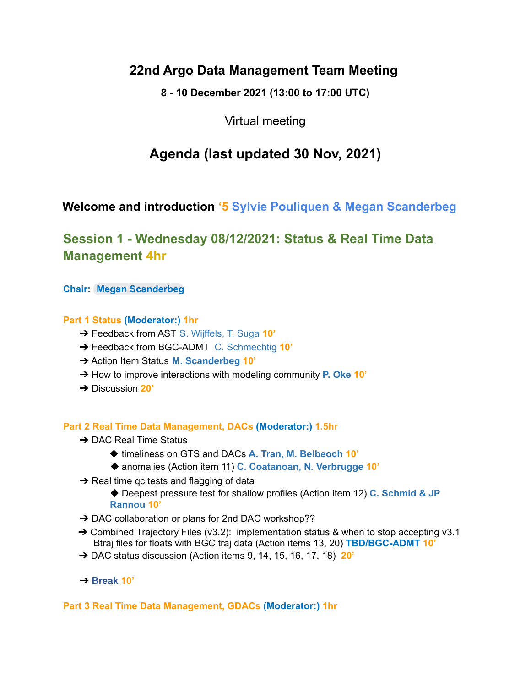# **22nd Argo Data Management Team Meeting**

**8 - 10 December 2021 (13:00 to 17:00 UTC)**

Virtual meeting

# **Agenda (last updated 30 Nov, 2021)**

# **Welcome and introduction '5 Sylvie Pouliquen & Megan Scanderbeg**

# **Session 1 - Wednesday 08/12/2021: Status & Real Time Data Management 4hr**

**Chair: Megan [Scanderbeg](mailto:mscanderbeg@ucsd.edu)**

## **Part 1 Status (Moderator:) 1hr**

- ➔ Feedback from AST S. Wijffels, T. Suga **10'**
- ➔ Feedback from BGC-ADMT C. Schmechtig **10'**
- ➔ Action Item Status **M. Scanderbeg 10'**
- ➔ How to improve interactions with modeling community **P. Oke 10'**
- ➔ Discussion **20'**

### **Part 2 Real Time Data Management, DACs (Moderator:) 1.5hr**

- **→ DAC Real Time Status** 
	- ◆ timeliness on GTS and DACs **A. Tran, M. Belbeoch 10'**
	- ◆ anomalies (Action item 11) **C. Coatanoan, N. Verbrugge 10'**
- $\rightarrow$  Real time gc tests and flagging of data
	- ◆ Deepest pressure test for shallow profiles (Action item 12) **C. Schmid & JP Rannou 10'**
- → DAC collaboration or plans for 2nd DAC workshop??
- $\rightarrow$  Combined Trajectory Files (v3.2): implementation status & when to stop accepting v3.1 Btraj files for floats with BGC traj data (Action items 13, 20) **TBD/BGC-ADMT 10'**
- ➔ DAC status discussion (Action items 9, 14, 15, 16, 17, 18) **20'**
- ➔ **Break 10'**

### **Part 3 Real Time Data Management, GDACs (Moderator:) 1hr**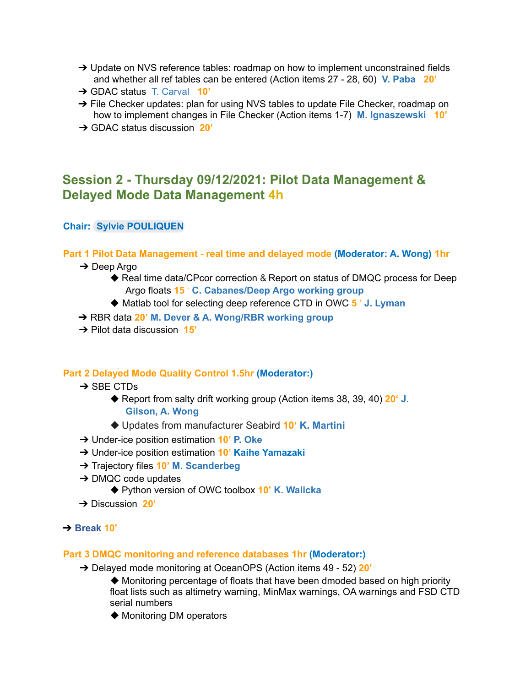- → Update on NVS reference tables: roadmap on how to implement unconstrained fields and whether all ref tables can be entered (Action items 27 - 28, 60) **V. Paba 20'**
- ➔ GDAC status T. Carval **10'**
- → File Checker updates: plan for using NVS tables to update File Checker, roadmap on how to implement changes in File Checker (Action items 1-7) **M. Ignaszewski 10'**
- ➔ GDAC status discussion **20'**

# **Session 2 - Thursday 09/12/2021: Pilot Data Management & Delayed Mode Data Management 4h**

### **Chair: Sylvie [POULIQUEN](mailto:Sylvie.Pouliquen@ifremer.fr)**

#### **Part 1 Pilot Data Management - real time and delayed mode (Moderator: A. Wong) 1hr**

- ➔ Deep Argo
	- ◆ Real time data/CPcor correction & Report on status of DMQC process for Deep Argo floats **15** ' **C. Cabanes/Deep Argo working group**
	- ◆ Matlab tool for selecting deep reference CTD in OWC **5** ' **J. Lyman**
- ➔ RBR data **20' M. Dever & A. Wong/RBR working group**
- ➔ Pilot data discussion **15'**

#### **Part 2 Delayed Mode Quality Control 1.5hr (Moderator:)**

- **→ SBE CTDs** 
	- ◆ Report from salty drift working group (Action items 38, 39, 40) 20<sup>*'*</sup> **J**. **Gilson, A. Wong**
	- ◆ Updates from manufacturer Seabird **10' K. Martini**
- ➔ Under-ice position estimation **10' P. Oke**
- ➔ Under-ice position estimation **10' Kaihe Yamazaki**
- ➔ Trajectory files **10' M. Scanderbeg**
- $\rightarrow$  DMQC code updates
	- ◆ Python version of OWC toolbox **10' K. Walicka**
- ➔ Discussion **20'**

#### ➔ **Break 10'**

#### **Part 3 DMQC monitoring and reference databases 1hr (Moderator:)**

- ➔ Delayed mode monitoring at OceanOPS (Action items 49 52) **20'**
	- ◆ Monitoring percentage of floats that have been dmoded based on high priority float lists such as altimetry warning, MinMax warnings, OA warnings and FSD CTD serial numbers
	- ◆ Monitoring DM operators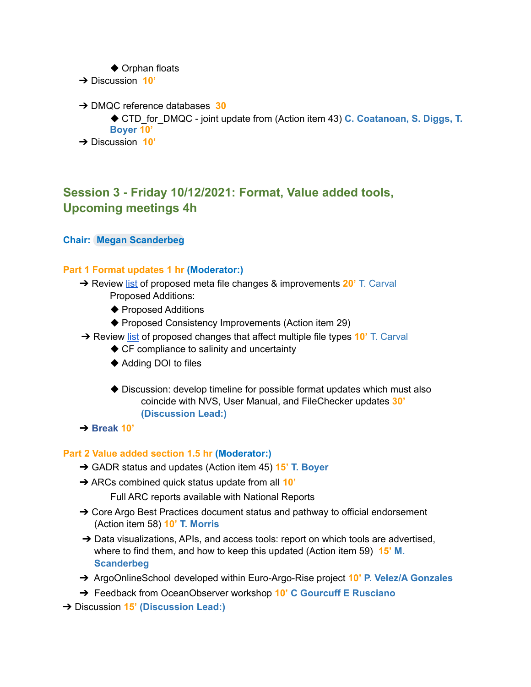- ◆ Orphan floats
- ➔ Discussion **10'**
- ➔ DMQC reference databases **30**
	- ◆ CTD for DMQC joint update from (Action item 43) **C. Coatanoan, S. Diggs, T. Boyer 10'**
- ➔ Discussion **10'**

# **Session 3 - Friday 10/12/2021: Format, Value added tools, Upcoming meetings 4h**

### **Chair: Megan [Scanderbeg](mailto:mscanderbeg@ucsd.edu)**

#### **Part 1 Format updates 1 hr (Moderator:)**

- ➔ Review [list](https://docs.google.com/document/d/1DSFcJa1LCuZQxPJorX_Z00GQkF1OIEdXdVWlH1NexN0/edit?usp=sharing) of proposed meta file changes & improvements **20'** T. Carval Proposed Additions:
	- ◆ Proposed Additions
	- ◆ Proposed Consistency Improvements (Action item 29)
- ➔ Review [list](https://docs.google.com/document/d/1DSFcJa1LCuZQxPJorX_Z00GQkF1OIEdXdVWlH1NexN0/edit?usp=sharing) of proposed changes that affect multiple file types **10'** T. Carval
	- ◆ CF compliance to salinity and uncertainty
	- ◆ Adding DOI to files
	- ◆ Discussion: develop timeline for possible format updates which must also coincide with NVS, User Manual, and FileChecker updates **30' (Discussion Lead:)**
- ➔ **Break 10'**

#### **Part 2 Value added section 1.5 hr (Moderator:)**

- ➔ GADR status and updates (Action item 45) **15' T. Boyer**
- ➔ ARCs combined quick status update from all **10'**

Full ARC reports available with National Reports

- → Core Argo Best Practices document status and pathway to official endorsement (Action item 58) **10' T. Morris**
- → Data visualizations, APIs, and access tools: report on which tools are advertised, where to find them, and how to keep this updated (Action item 59) **15' M. Scanderbeg**
- ➔ ArgoOnlineSchool developed within Euro-Argo-Rise project **10' P. Velez/A Gonzales**
- ➔ Feedback from OceanObserver workshop **10' C Gourcuff E Rusciano**

➔ Discussion **15' (Discussion Lead:)**